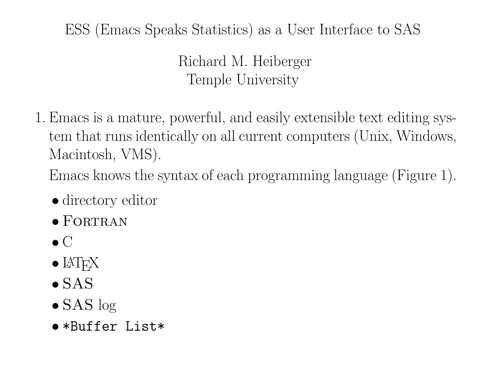## ESS (Emacs Speaks Statistics) as <sup>a</sup> User Interface to SAS

Richard M. Heiberger Temple University

1. Emacs is <sup>a</sup> mature, powerful, and easily extensible text editing system that runs identically on all current computers (Unix, Windows, Macintosh, VMS).

Emacs knows the syntax of each programming language (Figure 1).

- directory editor
- $\bullet$  FORTRAN
- $\bullet$   $\mathrm{C}$
- $\bullet$   $\rm MFX$
- $\bullet$  SAS
- $\bullet$  SAS log
- \*Buffer List\*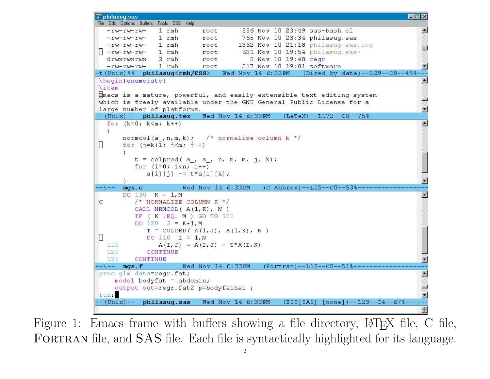```
Pphilasuq.sas
                                                                                      \overline{\Pi}x
File Edit Options Buffers Tools ESS Help
                1 rmh
                                       586 Nov 10 23:49 sas-bash.el
                            root
  -<i>tw</i>-<i>tw</i>-<i>tw</i>-765 Nov 10 23:34 philasuq.sas
                1 rmh
                            root
  -rw-rw-rw-
                                      1362 Nov 10 21:18 philasug-sas.log
                1 rmh
  -<i>rw</i>-<i>rw</i>-<i>rw</i>-root
                                       631 Nov 10 19:54 philasuq.sas~
\vert \vert -rw-rw-rw-
                1 rmh
                            root
                                         0 Nov 10 19:48 regr
  drwxrwxrwx
                2 rmh
                            root
  -<i>rw</i>-<i>rw</i>-<i>rw</i>-1 rmh
                                       517 Nov 10 19:01 software
                            root
-t(Unix)%% philasuq<rmh/ESS>
                                  Wed Nov 14 6:33PM
                                                        (Dired by date) - L29 - - C0 - -45\begin{enumerate}
\item
Emacs is a mature, powerful, and easily extensible text editing system
which is freely available under the GNU General Public License for a
large number of platforms.
--(Unix)-- philasug.tex
                            Wed Nov 14 6:33PM
                                                   (LaTeX) - L172 - C0 - 75 -
  for (k=0; k\leq m; k++)normcol(a,n,m,k); /* normalize column k */
Н
       for (i=k+1; j\leq m; j++)t = colprod(a, a, n, m, m, j, k);for (i=0; i<n; i++)a[i][i] - t * a[i][k];
       mgs.cWed Nov 14 6:33PM
                                             (C Abbrev) -L15--C0--53DO 130 K = 1, MC
          /\star NORMALIZE COLUMN K \star/
          CALL NRMCOL (A(1,K), N)IF (K.EQ. M.) GO TO 130
          DO 120 J = K+1,MT = \text{COLPRD} ( A(1, J), A(1, K), N )DO 110 I = 1, N110
                A(I, J) = A(I, J) - T^*A(I, K)120
             CONTINUE
  130
          CONTINUE
                       Wed Nov 14 6:33PM
-\left(- - \mod 5 \right). F
                                             proc glm data=regr. fat;
    model bodyfat = abdomin;
    output out=regr.fat2 p=bodyfathat ;
run;
- (Unix)-- philasuq.sas Wed Nov 14 6:33PM
                                                   (ESS[SAS] [none]) -- L23 -- C4 -- 67%
```
Figure 1: Emacs frame with buffers showing a file directory, LAT<sub>E</sub>X file, C file, FORTRAN file, and SAS file. Each file is syntactically highlighted for its language.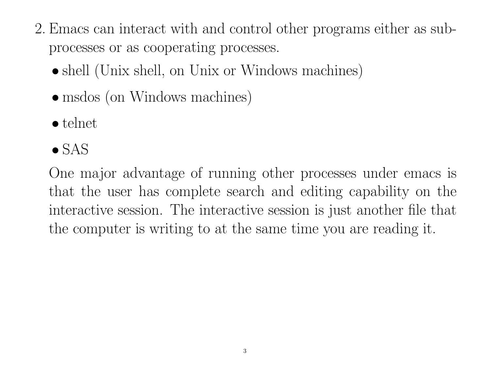- 2. Emacs can interact with and control other programs either as subprocesses or as cooperating processes.
	- shell (Unix shell, on Unix or Windows machines)
	- msdos (on Windows machines)
	- telnet
	- $\bullet$  SAS

One major advantage of running other processes under emacs i s that the user has complete search and editing capability on the interactive session. The interactive session is just another file that the computer is writing to at the same time you are reading it.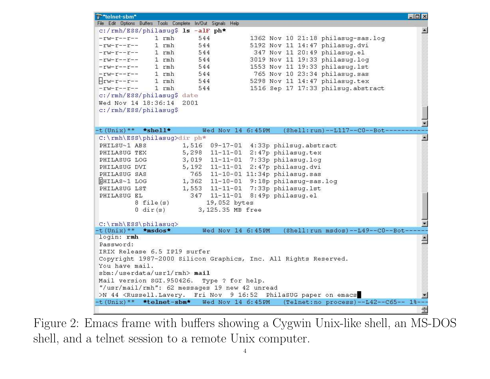| Telnet-sbm <sup>*</sup>                                      |                                                                                                                           | <b>LOX</b> |
|--------------------------------------------------------------|---------------------------------------------------------------------------------------------------------------------------|------------|
| File Edit Options Buffers Tools Complete In/Out Signals Help |                                                                                                                           |            |
| c:/rmh/ESS/philasuq\$ 1s -alF ph*                            |                                                                                                                           |            |
| $1$ rmh<br>$-rw-r--r--$                                      | 544<br>1362 Nov 10 21:18 philasug-sas.log                                                                                 |            |
| $1$ rmh<br>$-rw-r--r--$                                      | 5192 Nov 11 14:47 philasug.dvi<br>544                                                                                     |            |
| $1$ rmh<br>$-r$ w $-r$                                       | 544<br>347 Nov 11 20:49 philasug.el                                                                                       |            |
| 1 rmh<br>$-rw-r-r-r-$                                        | 3019 Nov 11 19:33 philasug.log<br>544                                                                                     |            |
| $1$ rmh<br>$-rw-r--r--$                                      | 1553 Nov 11 19:33 philasug. 1st<br>544                                                                                    |            |
| $1$ rmh<br>$-rw-r--r--$                                      | 765 Nov 10 23:34 philasuq.sas<br>544                                                                                      |            |
| $1$ rmh<br>$H$ rw-r--r--                                     | 5298 Nov 11 14:47 philasuq.tex<br>544                                                                                     |            |
| $1$ rmh<br>$-rw-r-r-r-$                                      | 1516 Sep 17 17:33 philsuq.abstract<br>544                                                                                 |            |
| c:/rmh/ESS/philasug\$ date                                   |                                                                                                                           |            |
| Wed Nov 14 18:36:14                                          | 2001                                                                                                                      |            |
| c:/rmh/ESS/philasuq\$                                        |                                                                                                                           |            |
|                                                              |                                                                                                                           |            |
|                                                              |                                                                                                                           |            |
| $-t$ (Unix) <sup>**</sup> *shell*                            | Wed Nov 14 6:45PM (Shell:run)--L117--C0--Bot-                                                                             |            |
| C:\rmh\ESS\philasuq>dir ph*                                  |                                                                                                                           |            |
| PHILSU~1 ABS                                                 | 1,516<br>09-17-01 4:33p philsuq.abstract                                                                                  |            |
| PHILASUG TEX                                                 | $11-11-01$ 2:47p philasuq.tex<br>5,298                                                                                    |            |
| PHILASUG LOG                                                 | 11-11-01 7:33p philasuq.log<br>3,019                                                                                      |            |
| PHILASUG DVI                                                 | 2:47p philasuq.dvi<br>$11 - 11 - 01$<br>5,192                                                                             |            |
| PHILASUG SAS                                                 | 11-10-01 11:34p philasug.sas<br>765                                                                                       |            |
| HHILAS~1 LOG                                                 | $11-10-01$ 9:18p philasug-sas.log<br>1,362                                                                                |            |
| PHILASUG LST                                                 | 7:33p philasuq.lst<br>$11 - 11 - 01$<br>1,553                                                                             |            |
| PHILASUG EL                                                  | $11 - 11 - 01$<br>8:49p philasug.el<br>347                                                                                |            |
| $8$ file $(s)$                                               | 19,052 bytes                                                                                                              |            |
| $0 \, \text{dir}(s)$                                         | 3,125.35 MB free                                                                                                          |            |
|                                                              |                                                                                                                           |            |
| C:\rmh\ESS\philasuq>                                         |                                                                                                                           |            |
| $-t$ (Unix) $**$<br>$\star$ msdos $\star$                    | Wed Nov 14 6:45PM<br>(Shell: run msdos)--L49--C0--Bot-                                                                    |            |
| login: rmh                                                   |                                                                                                                           |            |
| Password:                                                    |                                                                                                                           |            |
| IRIX Release 6.5 IP19 surfer                                 |                                                                                                                           |            |
|                                                              | Copyright 1987-2000 Silicon Graphics, Inc. All Rights Reserved.                                                           |            |
| You have mail.                                               |                                                                                                                           |            |
| sbm://userdata/usr1/rmh>mail                                 |                                                                                                                           |            |
|                                                              | Mail version SGI. 950426. Type ? for help.                                                                                |            |
|                                                              | "/usr/mail/rmh": 62 messages 19 new 42 unread                                                                             |            |
|                                                              | >N 44 <russell.lavery. 16:52="" 9="" emacs<="" fri="" nov="" on="" paper="" philasug="" td=""><td></td></russell.lavery.> |            |
| $-t$ (Unix) <sup>**</sup> *telnet-sbm*                       | Wed Nov 14 6:45PM<br>(Telnet: no process) -- L42 -- C65 -- 1%                                                             |            |
|                                                              |                                                                                                                           |            |
|                                                              |                                                                                                                           |            |

Figure 2: Emacs frame with buffers showing <sup>a</sup> Cygwin Unix-like shell, an MS-DOS shell, and <sup>a</sup> telnet session to <sup>a</sup> remote Unix computer.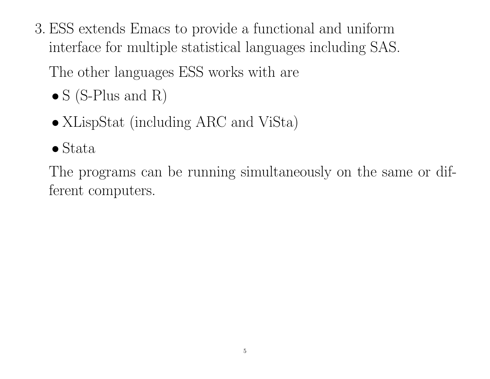3. ESS extends Emacs to provide <sup>a</sup> functional and uniform interface for multiple statistical languages including SAS.

The other languages ESS works with are

- $S(S-Plus and R)$
- XLispStat (including ARC and ViSta)
- Stata

The programs can be running simultaneously on the same or dif ferent computers.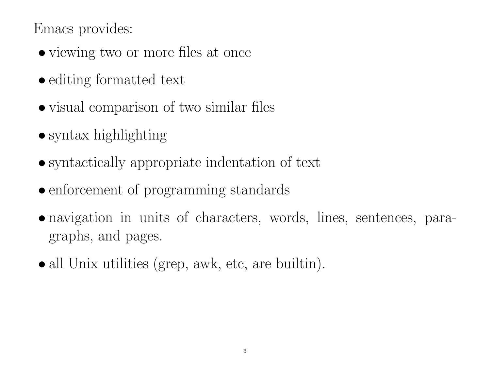Emacs provides:

- viewing two or more files at once
- editing formatted text
- visual comparison of two similar files
- syntax highlighting
- syntactically appropriate indentation of text
- enforcement of programming standards
- navigation in units of characters, words, lines, sentences, paragraphs, and pages.
- all Unix utilities (grep, awk, etc, are builtin).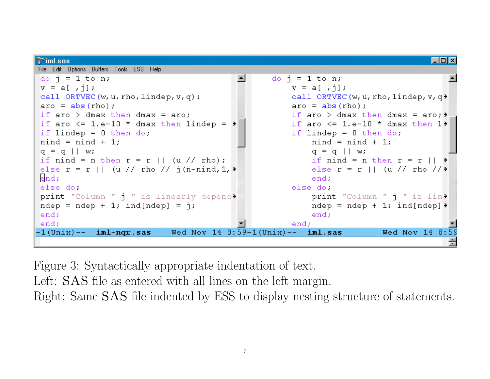```
\triangleright iml.sas
                                                                                                – Inf
File Edit Options Buffers Tools ESS Help
                                                         do j = 1 to n;
do i = 1 to n;
v = a[ , \dagger];v = a[ , \dagger];call ORTVEC(w, u, rho, lindep, v, q);
                                                              call ORTVEC (w, u, rho, lindep, v, q)
\text{aro} = \text{abs}(\text{rho}):aro = abs(rho);
                                                              if aro > dmax then dmax = aro; \rightarrowif aro > dmax then dmax = aro:
if aro \leq 1.e-10 \star dmax then lindep = \starif aro \leq 1.e-10 \star dmax then 1\starif lindep = 0 then do;
                                                              if lindep = 0 then do;
nind = nind + 1;
                                                                   nind = nind + 1;
q = q \mid |w;q = q \mid |w\rangleif nind = n then r = r || (u // rho);if nind = n then r = r || \rightarrowelse r = r || (u // rho // j(n-nind, 1, \rightarrowelse r = r \mid | \left( u \right) / rho //\rightarrowend:end:
                                                              else do
else do
print "Column " j " is linearly depend>
                                                                  print "Column " i " is lin>
ndep = ndep + 1; ind[ndep] = j;ndep = ndep + 1; ind[ndep]end;
                                                                   end:
end;
                                                              end;
-1(Unix)--
              iml-nqr.sas
                                Wed Nov 14 8:59-1(Unix)-- iml.sasWed Nov 14 8:59
```
Figure 3: Syntactically appropriate indentation of text.

Left: SAS file as entered with all lines on the left margin.

Right: Same SAS file indented by ESS to display nesting structure of statements.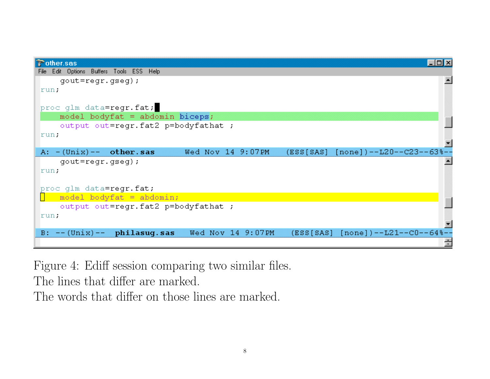| $\triangleright$ other sas                                                                          |  |
|-----------------------------------------------------------------------------------------------------|--|
| Edit Options Buffers Tools ESS Help<br>File:                                                        |  |
| $gout=regr. gseg);$                                                                                 |  |
| run.                                                                                                |  |
| proc glm data=regr.fat;                                                                             |  |
| model bodyfat = abdomin biceps;                                                                     |  |
| output out=regr.fat2 p=bodyfathat ;                                                                 |  |
| run:                                                                                                |  |
|                                                                                                     |  |
| Wed Nov 14 9:07PM<br>$(ESS[SAS] [none])$ --L20--C23--63%--<br>A: $-(\text{Unix})--\text{other.sas}$ |  |
| $gout=regr. gseg);$                                                                                 |  |
| run:                                                                                                |  |
|                                                                                                     |  |
| proc glm data=regr.fat;                                                                             |  |
| model bodyfat = $abdomin;$                                                                          |  |
| output out=regr.fat2 p=bodyfathat ;                                                                 |  |
| run:                                                                                                |  |
|                                                                                                     |  |
| (ESS[SAS] [none])--L21--C0--64%-<br>B: $--(Unix) -- philasug.sas$<br>Wed Nov 14 9:07PM              |  |
|                                                                                                     |  |

Figure 4: Ediff session comparing two similar files.

The lines that differ are marked.

The words that differ on those lines are marked.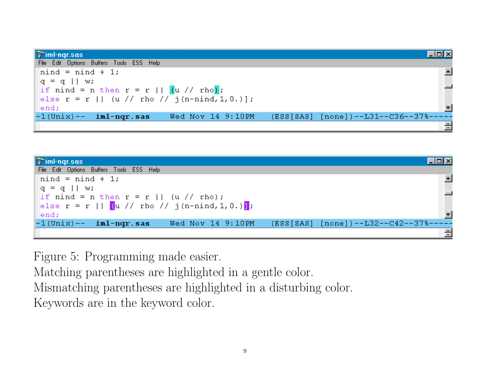| $\triangleright$ imi-ngr.sas                                                                  |  |
|-----------------------------------------------------------------------------------------------|--|
| File Edit Options Buffers Tools ESS Help                                                      |  |
| $nind = nind + 1;$                                                                            |  |
| $q = q \mid w;$                                                                               |  |
| if nind = n then r = r    $(u$ // rho);                                                       |  |
| else $r = r \mid  (u // rho // j(n-nind, 1, 0.)]$ ;                                           |  |
| end;                                                                                          |  |
| $-1$ (Unix) $--$ iml-ngr.sas<br>$(ESS[SAS] [none])$ --L31--C36--37%-----<br>Wed Nov 14 9:10PM |  |
|                                                                                               |  |

| <b>Timl-ngr.sas</b>                                                                           |  |
|-----------------------------------------------------------------------------------------------|--|
| File Edit Options Buffers Tools ESS Help                                                      |  |
| $nind = nind + 1;$                                                                            |  |
| $q = q \mid w;$                                                                               |  |
| if nind = n then r = r    (u // rho);                                                         |  |
| else r = r    $($ u // rho // j(n-nind, 1, 0.)                                                |  |
| end;                                                                                          |  |
| $-1$ (Unix) $--$ iml-nqr.sas<br>$(ESS[SAS] [none])$ --L32--C42--37%-----<br>Wed Nov 14 9:10PM |  |
|                                                                                               |  |

Figure 5: Programming made easier.

Matching parentheses are highlighted in <sup>a</sup> gentle color.

Mismatching parentheses are highlighted in <sup>a</sup> disturbing color.

Keywords are in the keyword color.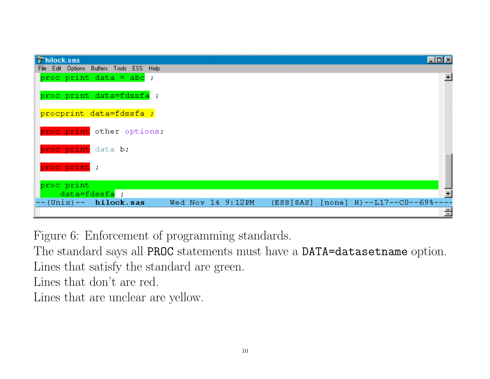| <b>Thilock.sas</b> |                                          |                   |  |                                    | $\Box$ o $\mathbf{X}$ |
|--------------------|------------------------------------------|-------------------|--|------------------------------------|-----------------------|
|                    | File Edit Options Buffers Tools ESS Help |                   |  |                                    |                       |
|                    | proc print data = abc ;                  |                   |  |                                    |                       |
|                    | proc print data=fdssfa ;                 |                   |  |                                    |                       |
|                    | procprint data=fdssfa ;                  |                   |  |                                    |                       |
|                    | proc print other options;                |                   |  |                                    |                       |
| proc print data b; |                                          |                   |  |                                    |                       |
| proc print ;       |                                          |                   |  |                                    |                       |
| proc print         |                                          |                   |  |                                    |                       |
|                    | data=fdssfa;                             |                   |  |                                    |                       |
|                    | $--(Unix) -- hilock.sas$                 | Wed Nov 14 9:12PM |  | (ESS[SAS] [none] H)--L17--C0--69%- |                       |
|                    |                                          |                   |  |                                    | Ė                     |

Figure 6: Enforcement of programming standards.

The standard says all PROC statements must have a DATA=datasetname option. Lines that satisfy the standard are green.

Lines that don't are red.

Lines that are unclear are yellow.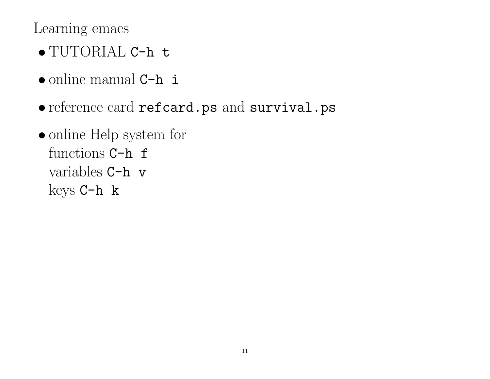Learning emacs

- TUTORIAL C-h t
- online manual C-h i
- reference card refcard.ps and survival.ps
- online Help system for functions C-h f variables C-h <sup>v</sup> keys C-h <sup>k</sup>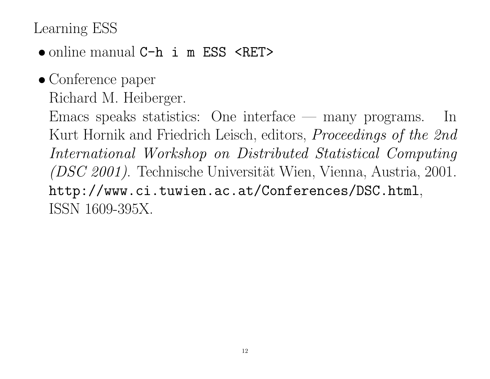## Learning ESS

- online manual C-h i m ESS <RET>
- Conference paper Richard M. Heiberger.

Emacs speaks statistics: One interface — many programs. In Kurt Hornik and Friedrich Leisch, editors, Proceedings of the 2nd International Workshop on Distributed Statistical Computing  $(DSC 2001)$ . Technische Universität Wien, Vienna, Austria, 2001. http://www.ci.tuwien.ac.at/Conferences/DSC.html, ISSN 1609-395X.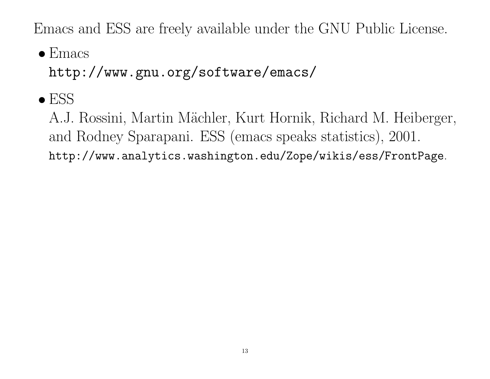Emacs and ESS are freely available under the GNU Public License.

• Emacs

http://www.gnu.org/software/emacs/

 $\bullet$  ESS

A.J. Rossini, Martin Mächler, Kurt Hornik, Richard M. Heiberger, and Rodney Sparapani. ESS (emacs speaks statistics), 2001. http://www.analytics.washington.edu/Zope/wikis/ess/FrontPage.